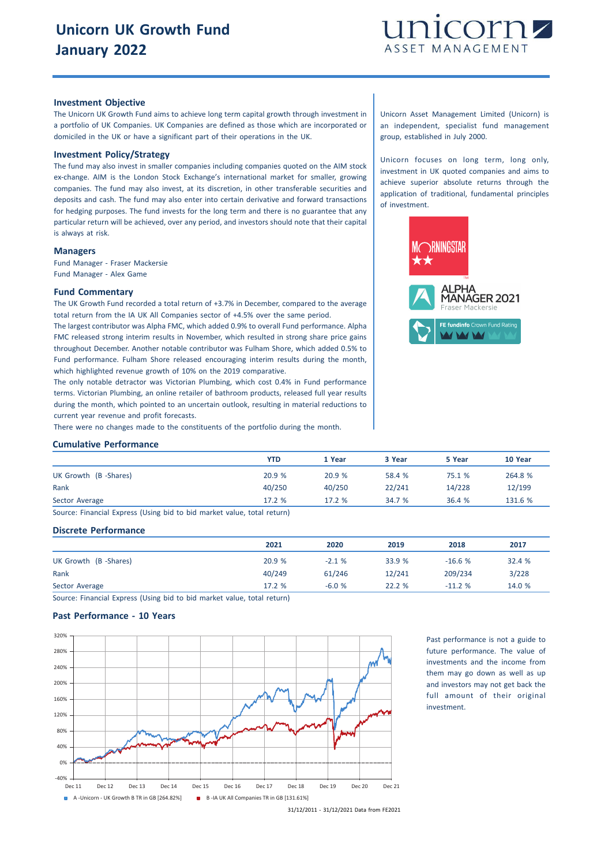

### **Investment Objective**

The Unicorn UK Growth Fund aims to achieve long term capital growth through investment in a portfolio of UK Companies. UK Companies are defined as those which are incorporated or domiciled in the UK or have a significant part of their operations in the UK.

## **Investment Policy/Strategy**

The fund may also invest in smaller companies including companies quoted on the AIM stock ex-change. AIM is the London Stock Exchange's international market for smaller, growing companies. The fund may also invest, at its discretion, in other transferable securities and deposits and cash. The fund may also enter into certain derivative and forward transactions for hedging purposes. The fund invests for the long term and there is no guarantee that any particular return will be achieved, over any period, and investors should note that their capital is always at risk.

#### **Managers**

Fund Manager - Fraser Mackersie Fund Manager - Alex Game

#### **Fund Commentary**

The UK Growth Fund recorded a total return of +3.7% in December, compared to the average total return from the IA UK All Companies sector of +4.5% over the same period.

The largest contributor was Alpha FMC, which added 0.9% to overall Fund performance. Alpha FMC released strong interim results in November, which resulted in strong share price gains throughout December. Another notable contributor was Fulham Shore, which added 0.5% to Fund performance. Fulham Shore released encouraging interim results during the month, which highlighted revenue growth of 10% on the 2019 comparative.

The only notable detractor was Victorian Plumbing, which cost 0.4% in Fund performance terms. Victorian Plumbing, an online retailer of bathroom products, released full year results during the month, which pointed to an uncertain outlook, resulting in material reductions to current year revenue and profit forecasts.

There were no changes made to the constituents of the portfolio during the month.

# **Cumulative Performance**

|                                                                        | YTD    | 1 Year | 3 Year | 5 Year | 10 Year |
|------------------------------------------------------------------------|--------|--------|--------|--------|---------|
| UK Growth (B-Shares)                                                   | 20.9%  | 20.9%  | 58.4 % | 75.1 % | 264.8 % |
| Rank                                                                   | 40/250 | 40/250 | 22/241 | 14/228 | 12/199  |
| Sector Average                                                         | 17.2%  | 17.2%  | 34.7 % | 36.4%  | 131.6 % |
| Course: Einansial Evasoss (Heing bid to bid market value total seturn) |        |        |        |        |         |

Source: Financial Express (Using bid to bid market value, total return)

### **Discrete Performance**

|                      | 2021   | 2020    | 2019   | 2018     | 2017   |
|----------------------|--------|---------|--------|----------|--------|
| UK Growth (B-Shares) | 20.9%  | $-2.1%$ | 33.9 % | $-16.6%$ | 32.4 % |
| Rank                 | 40/249 | 61/246  | 12/241 | 209/234  | 3/228  |
| Sector Average       | 17.2 % | $-6.0%$ | 22.2 % | $-11.2%$ | 14.0 % |

Source: Financial Express (Using bid to bid market value, total return)

## **Past Performance - 10 Years**



Past performance is not a guide to future performance. The value of investments and the income from them may go down as well as up and investors may not get back the full amount of their original investment.

31/12/2011 - 31/12/2021 Data from FE2021

Unicorn Asset Management Limited (Unicorn) is an independent, specialist fund management group, established in July 2000.

Unicorn focuses on long term, long only, investment in UK quoted companies and aims to achieve superior absolute returns through the application of traditional, fundamental principles of investment.